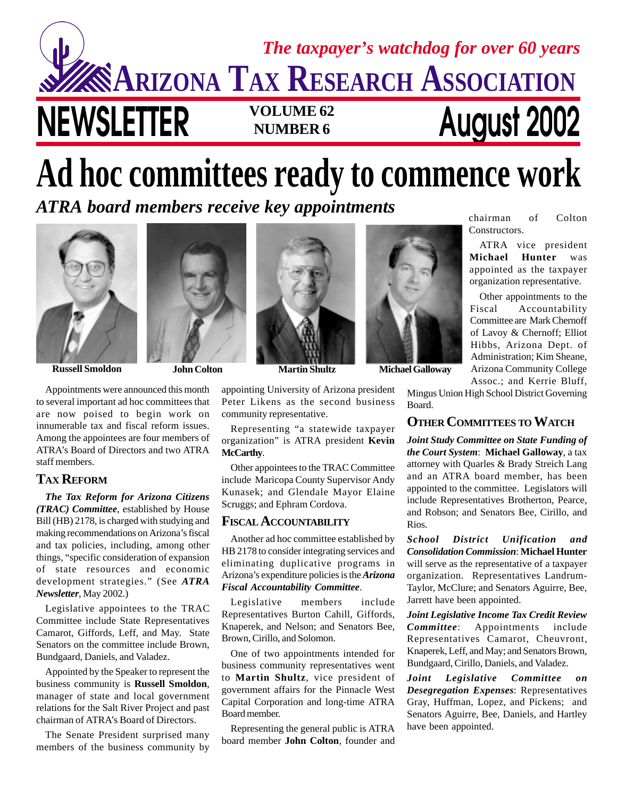## **NEWSLETTER VOLUME 62 August 2002 NUMBER 6 ARIZONA TAX RESEARCH ASSOCIATION** *The taxpayer's watchdog for over 60 years*

# **Ad hoc committees ready to commence work**

*ATRA board members receive key appointments*



**Russell Smoldon John Colton Martin Shultz Michael Galloway**

Appointments were announced this month to several important ad hoc committees that are now poised to begin work on innumerable tax and fiscal reform issues. Among the appointees are four members of ATRA's Board of Directors and two ATRA staff members.

#### **TAX REFORM**

*The Tax Reform for Arizona Citizens (TRAC) Committee*, established by House Bill (HB) 2178, is charged with studying and making recommendations on Arizona's fiscal and tax policies, including, among other things, "specific consideration of expansion of state resources and economic development strategies." (See *ATRA Newsletter*, May 2002.)

Legislative appointees to the TRAC Committee include State Representatives Camarot, Giffords, Leff, and May. State Senators on the committee include Brown, Bundgaard, Daniels, and Valadez.

Appointed by the Speaker to represent the business community is **Russell Smoldon**, manager of state and local government relations for the Salt River Project and past chairman of ATRA's Board of Directors.

The Senate President surprised many members of the business community by



appointing University of Arizona president Peter Likens as the second business community representative.

Representing "a statewide taxpayer organization" is ATRA president **Kevin McCarthy**.

Other appointees to the TRAC Committee include Maricopa County Supervisor Andy Kunasek; and Glendale Mayor Elaine Scruggs; and Ephram Cordova.

#### **FISCAL ACCOUNTABILITY**

Another ad hoc committee established by HB 2178 to consider integrating services and eliminating duplicative programs in Arizona's expenditure policies is the *Arizona Fiscal Accountability Committee*.

Legislative members include Representatives Burton Cahill, Giffords, Knaperek, and Nelson; and Senators Bee, Brown, Cirillo, and Solomon.

One of two appointments intended for business community representatives went to **Martin Shultz**, vice president of government affairs for the Pinnacle West Capital Corporation and long-time ATRA Board member.

Representing the general public is ATRA board member **John Colton**, founder and



Other appointments to the Fiscal Accountability Committee are Mark Chernoff of Lavoy & Chernoff; Elliot Hibbs, Arizona Dept. of Administration; Kim Sheane, Arizona Community College Assoc.; and Kerrie Bluff,

organization representative.

chairman of Colton

Mingus Union High School District Governing Board.

### **OTHER COMMITTEES TO WATCH**

*Joint Study Committee on State Funding of the Court System*: **Michael Galloway**, a tax attorney with Quarles & Brady Streich Lang and an ATRA board member, has been appointed to the committee. Legislators will include Representatives Brotherton, Pearce, and Robson; and Senators Bee, Cirillo, and Rios.

*School District Unification and Consolidation Commission*: **Michael Hunter** will serve as the representative of a taxpayer organization. Representatives Landrum-Taylor, McClure; and Senators Aguirre, Bee, Jarrett have been appointed.

*Joint Legislative Income Tax Credit Review Committee*: Appointments include Representatives Camarot, Cheuvront, Knaperek, Leff, and May; and Senators Brown, Bundgaard, Cirillo, Daniels, and Valadez.

*Joint Legislative Committee on Desegregation Expenses*: Representatives Gray, Huffman, Lopez, and Pickens; and Senators Aguirre, Bee, Daniels, and Hartley have been appointed.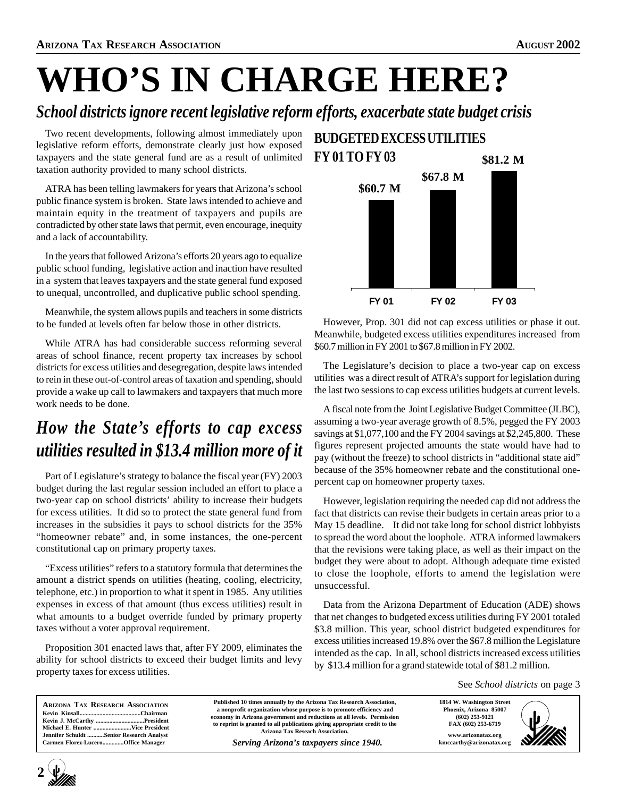# **WHO'S IN CHARGE HERE?**

### *School districts ignore recent legislative reform efforts, exacerbate state budget crisis*

Two recent developments, following almost immediately upon legislative reform efforts, demonstrate clearly just how exposed taxpayers and the state general fund are as a result of unlimited taxation authority provided to many school districts.

ATRA has been telling lawmakers for years that Arizona's school public finance system is broken. State laws intended to achieve and maintain equity in the treatment of taxpayers and pupils are contradicted by other state laws that permit, even encourage, inequity and a lack of accountability.

In the years that followed Arizona's efforts 20 years ago to equalize public school funding, legislative action and inaction have resulted in a system that leaves taxpayers and the state general fund exposed to unequal, uncontrolled, and duplicative public school spending.

Meanwhile, the system allows pupils and teachers in some districts to be funded at levels often far below those in other districts.

While ATRA has had considerable success reforming several areas of school finance, recent property tax increases by school districts for excess utilities and desegregation, despite laws intended to rein in these out-of-control areas of taxation and spending, should provide a wake up call to lawmakers and taxpayers that much more work needs to be done.

### *How the State's efforts to cap excess utilities resulted in \$13.4 million more of it*

Part of Legislature's strategy to balance the fiscal year (FY) 2003 budget during the last regular session included an effort to place a two-year cap on school districts' ability to increase their budgets for excess utilities. It did so to protect the state general fund from increases in the subsidies it pays to school districts for the 35% "homeowner rebate" and, in some instances, the one-percent constitutional cap on primary property taxes.

"Excess utilities" refers to a statutory formula that determines the amount a district spends on utilities (heating, cooling, electricity, telephone, etc.) in proportion to what it spent in 1985. Any utilities expenses in excess of that amount (thus excess utilities) result in what amounts to a budget override funded by primary property taxes without a voter approval requirement.

Proposition 301 enacted laws that, after FY 2009, eliminates the ability for school districts to exceed their budget limits and levy property taxes for excess utilities.

#### **BUDGETED EXCESS UTILITIES FY 01 TO FY 03 \$81.2 M**



However, Prop. 301 did not cap excess utilities or phase it out. Meanwhile, budgeted excess utilities expenditures increased from \$60.7 million in FY 2001 to \$67.8 million in FY 2002.

The Legislature's decision to place a two-year cap on excess utilities was a direct result of ATRA's support for legislation during the last two sessions to cap excess utilities budgets at current levels.

A fiscal note from the Joint Legislative Budget Committee (JLBC), assuming a two-year average growth of 8.5%, pegged the FY 2003 savings at \$1,077,100 and the FY 2004 savings at \$2,245,800. These figures represent projected amounts the state would have had to pay (without the freeze) to school districts in "additional state aid" because of the 35% homeowner rebate and the constitutional onepercent cap on homeowner property taxes.

However, legislation requiring the needed cap did not address the fact that districts can revise their budgets in certain areas prior to a May 15 deadline. It did not take long for school district lobbyists to spread the word about the loophole. ATRA informed lawmakers that the revisions were taking place, as well as their impact on the budget they were about to adopt. Although adequate time existed to close the loophole, efforts to amend the legislation were unsuccessful.

Data from the Arizona Department of Education (ADE) shows that net changes to budgeted excess utilities during FY 2001 totaled \$3.8 million. This year, school district budgeted expenditures for excess utilities increased 19.8% over the \$67.8 million the Legislature intended as the cap. In all, school districts increased excess utilities by \$13.4 million for a grand statewide total of \$81.2 million.

See *School districts* on page 3

| <b>ARIZONA TAX RESEARCH ASSOCIATION</b>  | Published 10 times annually by the Arizona Tax Research Association,       | 1814 W. Washington Street | WAS |
|------------------------------------------|----------------------------------------------------------------------------|---------------------------|-----|
|                                          | a nonprofit organization whose purpose is to promote efficiency and        | Phoenix, Arizona 85007    |     |
| Kevin J. McCarthy President              | economy in Arizona government and reductions at all levels. Permission     | $(602)$ 253-9121          |     |
|                                          | to reprint is granted to all publications giving appropriate credit to the | FAX (602) 253-6719        |     |
| Jennifer Schuldt Senior Research Analyst | Arizona Tax Reseach Association.                                           | www.arizonatax.org        |     |
| Carmen Florez-LuceroOffice Manager       | Serving Arizona's taxpayers since 1940.                                    | kmccarthy@arizonatax.org  |     |

**2**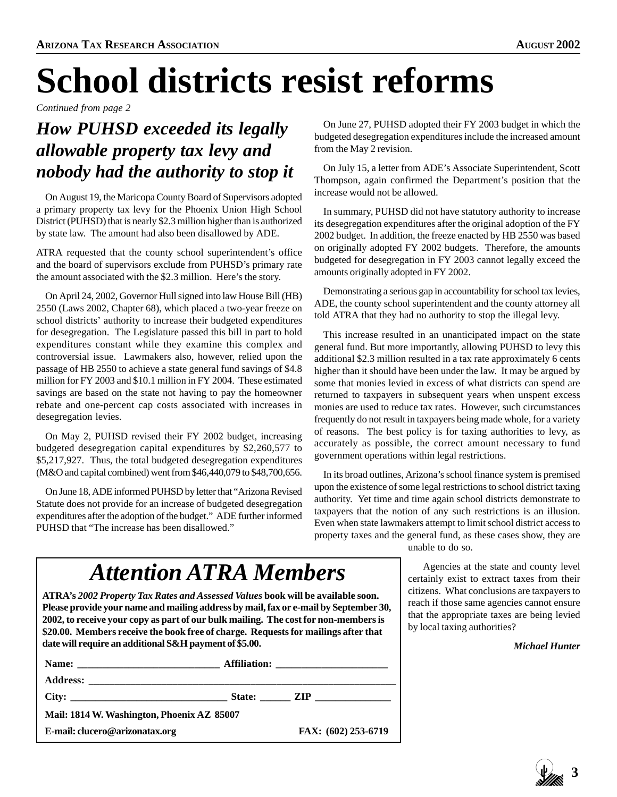# **School districts resist reforms**

*Continued from page 2*

## *How PUHSD exceeded its legally allowable property tax levy and nobody had the authority to stop it*

On August 19, the Maricopa County Board of Supervisors adopted a primary property tax levy for the Phoenix Union High School District (PUHSD) that is nearly \$2.3 million higher than is authorized by state law. The amount had also been disallowed by ADE.

ATRA requested that the county school superintendent's office and the board of supervisors exclude from PUHSD's primary rate the amount associated with the \$2.3 million. Here's the story.

On April 24, 2002, Governor Hull signed into law House Bill (HB) 2550 (Laws 2002, Chapter 68), which placed a two-year freeze on school districts' authority to increase their budgeted expenditures for desegregation. The Legislature passed this bill in part to hold expenditures constant while they examine this complex and controversial issue. Lawmakers also, however, relied upon the passage of HB 2550 to achieve a state general fund savings of \$4.8 million for FY 2003 and \$10.1 million in FY 2004. These estimated savings are based on the state not having to pay the homeowner rebate and one-percent cap costs associated with increases in desegregation levies.

On May 2, PUHSD revised their FY 2002 budget, increasing budgeted desegregation capital expenditures by \$2,260,577 to \$5,217,927. Thus, the total budgeted desegregation expenditures (M&O and capital combined) went from \$46,440,079 to \$48,700,656.

On June 18, ADE informed PUHSD by letter that "Arizona Revised Statute does not provide for an increase of budgeted desegregation expenditures after the adoption of the budget." ADE further informed PUHSD that "The increase has been disallowed."

On June 27, PUHSD adopted their FY 2003 budget in which the budgeted desegregation expenditures include the increased amount from the May 2 revision.

On July 15, a letter from ADE's Associate Superintendent, Scott Thompson, again confirmed the Department's position that the increase would not be allowed.

In summary, PUHSD did not have statutory authority to increase its desegregation expenditures after the original adoption of the FY 2002 budget. In addition, the freeze enacted by HB 2550 was based on originally adopted FY 2002 budgets. Therefore, the amounts budgeted for desegregation in FY 2003 cannot legally exceed the amounts originally adopted in FY 2002.

Demonstrating a serious gap in accountability for school tax levies, ADE, the county school superintendent and the county attorney all told ATRA that they had no authority to stop the illegal levy.

This increase resulted in an unanticipated impact on the state general fund. But more importantly, allowing PUHSD to levy this additional \$2.3 million resulted in a tax rate approximately 6 cents higher than it should have been under the law. It may be argued by some that monies levied in excess of what districts can spend are returned to taxpayers in subsequent years when unspent excess monies are used to reduce tax rates. However, such circumstances frequently do not result in taxpayers being made whole, for a variety of reasons. The best policy is for taxing authorities to levy, as accurately as possible, the correct amount necessary to fund government operations within legal restrictions.

In its broad outlines, Arizona's school finance system is premised upon the existence of some legal restrictions to school district taxing authority. Yet time and time again school districts demonstrate to taxpayers that the notion of any such restrictions is an illusion. Even when state lawmakers attempt to limit school district access to property taxes and the general fund, as these cases show, they are

unable to do so.

Agencies at the state and county level certainly exist to extract taxes from their citizens. What conclusions are taxpayers to reach if those same agencies cannot ensure that the appropriate taxes are being levied by local taxing authorities?

*Michael Hunter*

## *Attention ATRA Members*

**ATRA's** *2002 Property Tax Rates and Assessed Values* **book will be available soon. Please provide your name and mailing address by mail, fax or e-mail by September 30, 2002, to receive your copy as part of our bulk mailing. The cost for non-members is \$20.00. Members receive the book free of charge. Requests for mailings after that date will require an additional S&H payment of \$5.00.**

| Mail: 1814 W. Washington, Phoenix AZ 85007 |  |                     |  |  |  |  |
|--------------------------------------------|--|---------------------|--|--|--|--|
| E-mail: clucero@arizonatax.org             |  | FAX: (602) 253-6719 |  |  |  |  |